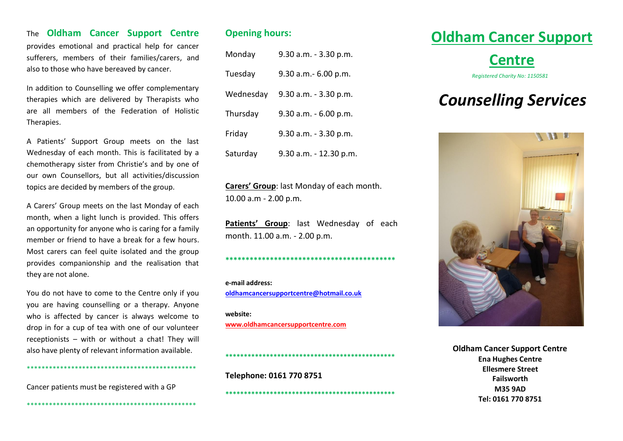#### The **Oldham Cancer Support Centre**

provides emotional and practical help for cancer sufferers, members of their families/carers, and also to those who have bereaved by cancer.

In addition to Counselling we offer complementary therapies which are delivered by Therapists who are all members of the Federation of Holistic Therapies.

A Patients' Support Group meets on the last Wednesday of each month. This is facilitated by a chemotherapy sister from Christie's and by one of our own Counsellors, but all activities/discussion topics are decided by members of the group.

A Carers' Group meets on the last Monday of each month, when a light lunch is provided. This offers an opportunity for anyone who is caring for a family member or friend to have a break for a few hours. Most carers can feel quite isolated and the group provides companionship and the realisation that they are not alone.

You do not have to come to the Centre only if you you are having counselling or a therapy. Anyone who is affected by cancer is always welcome to drop in for a cup of tea with one of our volunteer receptionists – with or without a chat! They will also have plenty of relevant information available.

\*\*\*\*\*\*\*\*\*\*\*\*\*\*\*\*\*\*\*\*\*\*\*\*\*\*\*\*\*\*\*\*\*\*\*\*\*\*\*\*\*\*\*\*\*\*

Cancer patients must be registered with a GP

\*\*\*\*\*\*\*\*\*\*\*\*\*\*\*\*\*\*\*\*\*\*\*\*\*\*\*\*\*\*\*\*\*\*\*\*\*\*\*\*\*\*\*\*\*\*

#### **Opening hours:**

| Monday    | 9.30 a.m. - 3.30 p.m.    |
|-----------|--------------------------|
| Tuesday   | 9.30 a.m. - 6.00 p.m.    |
| Wednesday | $9.30$ a.m. $-3.30$ p.m. |
| Thursday  | 9.30 a.m. - 6.00 p.m.    |
| Friday    | 9.30 a.m. - 3.30 p.m.    |
| Saturday  | 9.30 a.m. - 12.30 p.m.   |

**Carers' Group**: last Monday of each month. 10.00 a.m - 2.00 p.m.

Patients' Group: last Wednesday of each month. 11.00 a.m. - 2.00 p.m.

**\*\*\*\*\*\*\*\*\*\*\*\*\*\*\*\*\*\*\*\*\*\*\*\*\*\*\*\*\*\*\*\*\*\*\*\*\*\*\*\*\*\***

**e-mail address: [oldhamcancersupportcentre@hotmail.co.uk](mailto:oldhamcancersupportcentre@hotmail.co.uk)**

**website: [www.oldhamcancersupportcentre.com](http://www.oldhamcancersupportcentre.com/)**

**\*\*\*\*\*\*\*\*\*\*\*\*\*\*\*\*\*\*\*\*\*\*\*\*\*\*\*\*\*\*\*\*\*\*\*\*\*\*\*\*\*\*\*\*\*\* Telephone: 0161 770 8751**

**\*\*\*\*\*\*\*\*\*\*\*\*\*\*\*\*\*\*\*\*\*\*\*\*\*\*\*\*\*\*\*\*\*\*\*\*\*\*\*\*\*\*\*\*\*\***

### **Oldham Cancer Support**

### **Centre**

 *Registered Charity No: 1150581*

# *Counselling Services*



**Oldham Cancer Support Centre Ena Hughes Centre Ellesmere Street Failsworth M35 9AD Tel: 0161 770 8751**